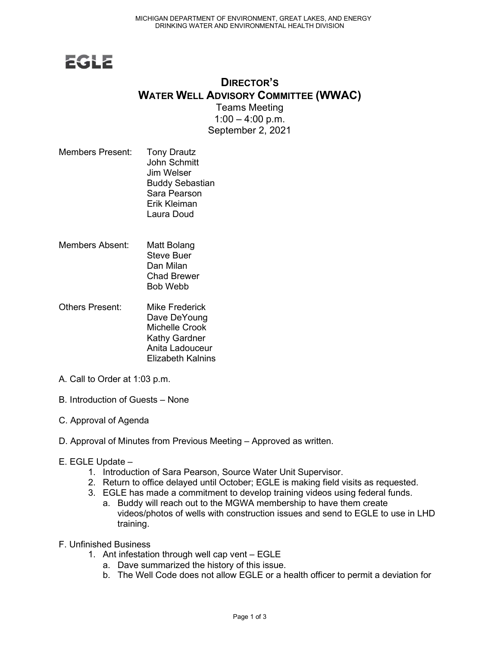## **EGLE**

## DIRECTOR'S WATER WELL ADVISORY COMMITTEE (WWAC)

Teams Meeting  $1:00 - 4:00$  p.m. September 2, 2021

- Members Present: Tony Drautz John Schmitt Jim Welser Buddy Sebastian Sara Pearson Erik Kleiman Laura Doud
- Members Absent: Matt Bolang Steve Buer Dan Milan Chad Brewer Bob Webb
- Others Present: Mike Frederick Dave DeYoung Michelle Crook Kathy Gardner Anita Ladouceur Elizabeth Kalnins
- A. Call to Order at 1:03 p.m.
- B. Introduction of Guests None
- C. Approval of Agenda
- D. Approval of Minutes from Previous Meeting Approved as written.
- E. EGLE Update
	- 1. Introduction of Sara Pearson, Source Water Unit Supervisor.
	- 2. Return to office delayed until October; EGLE is making field visits as requested.
	- 3. EGLE has made a commitment to develop training videos using federal funds.
		- a. Buddy will reach out to the MGWA membership to have them create videos/photos of wells with construction issues and send to EGLE to use in LHD training.
- F. Unfinished Business
	- 1. Ant infestation through well cap vent EGLE
		- a. Dave summarized the history of this issue.
		- b. The Well Code does not allow EGLE or a health officer to permit a deviation for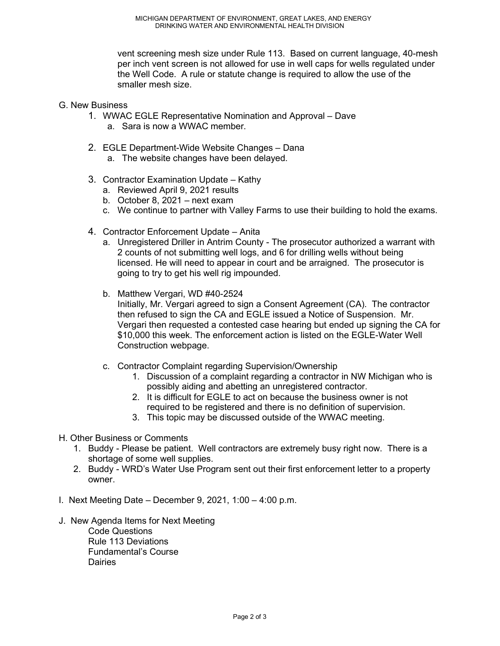vent screening mesh size under Rule 113. Based on current language, 40-mesh per inch vent screen is not allowed for use in well caps for wells regulated under the Well Code. A rule or statute change is required to allow the use of the smaller mesh size.

- G. New Business
	- 1. WWAC EGLE Representative Nomination and Approval Dave
		- a. Sara is now a WWAC member.
	- 2. EGLE Department-Wide Website Changes Dana a. The website changes have been delayed.
		-
	- 3. Contractor Examination Update Kathy
		- a. Reviewed April 9, 2021 results
		- b. October 8, 2021 next exam
		- c. We continue to partner with Valley Farms to use their building to hold the exams.
	- 4. Contractor Enforcement Update Anita
		- a. Unregistered Driller in Antrim County The prosecutor authorized a warrant with 2 counts of not submitting well logs, and 6 for drilling wells without being licensed. He will need to appear in court and be arraigned. The prosecutor is going to try to get his well rig impounded.
		- b. Matthew Vergari, WD #40-2524 Initially, Mr. Vergari agreed to sign a Consent Agreement (CA). The contractor then refused to sign the CA and EGLE issued a Notice of Suspension. Mr. Vergari then requested a contested case hearing but ended up signing the CA for \$10,000 this week. The enforcement action is listed on the EGLE-Water Well Construction webpage.
		- c. Contractor Complaint regarding Supervision/Ownership
			- 1. Discussion of a complaint regarding a contractor in NW Michigan who is possibly aiding and abetting an unregistered contractor.
			- 2. It is difficult for EGLE to act on because the business owner is not required to be registered and there is no definition of supervision.
			- 3. This topic may be discussed outside of the WWAC meeting.
- H. Other Business or Comments
	- 1. Buddy Please be patient. Well contractors are extremely busy right now. There is a shortage of some well supplies.
	- 2. Buddy WRD's Water Use Program sent out their first enforcement letter to a property owner.
- I. Next Meeting Date December 9, 2021, 1:00 4:00 p.m.
- J. New Agenda Items for Next Meeting Code Questions Rule 113 Deviations Fundamental's Course **Dairies**